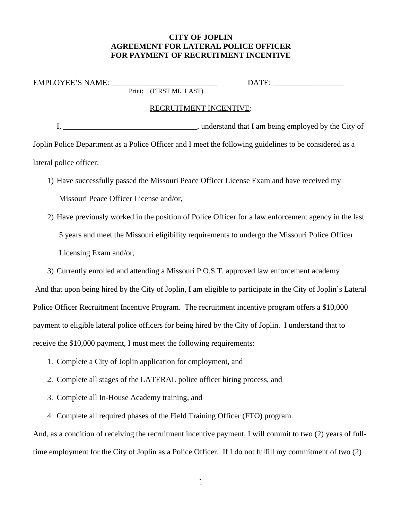## **CITY OF JOPLIN AGREEMENT FOR LATERAL POLICE OFFICER FOR PAYMENT OF RECRUITMENT INCENTIVE**

| <b>OYEE'S NAME:</b><br><b>EMPL</b><br>. |        |                 |             | $\Delta$ |  |  |  |
|-----------------------------------------|--------|-----------------|-------------|----------|--|--|--|
|                                         | Print: | ⊮ ⊓ R<br>M.<br> | $\Delta$ ST |          |  |  |  |

## RECRUITMENT INCENTIVE:

I, \_\_\_\_\_\_\_\_\_\_\_\_\_\_\_\_\_\_\_\_\_\_\_\_\_\_\_\_\_\_\_\_\_\_, understand that I am being employed by the City of Joplin Police Department as a Police Officer and I meet the following guidelines to be considered as a lateral police officer:

- 1) Have successfully passed the Missouri Peace Officer License Exam and have received my Missouri Peace Officer License and/or,
- 2) Have previously worked in the position of Police Officer for a law enforcement agency in the last 5 years and meet the Missouri eligibility requirements to undergo the Missouri Police Officer Licensing Exam and/or,
- 3) Currently enrolled and attending a Missouri P.O.S.T. approved law enforcement academy

And that upon being hired by the City of Joplin, I am eligible to participate in the City of Joplin's Lateral Police Officer Recruitment Incentive Program. The recruitment incentive program offers a \$10,000 payment to eligible lateral police officers for being hired by the City of Joplin. I understand that to receive the \$10,000 payment, I must meet the following requirements:

- 1. Complete a City of Joplin application for employment, and
- 2. Complete all stages of the LATERAL police officer hiring process, and
- 3. Complete all In-House Academy training, and
- 4. Complete all required phases of the Field Training Officer (FTO) program.

And, as a condition of receiving the recruitment incentive payment, I will commit to two (2) years of fulltime employment for the City of Joplin as a Police Officer. If I do not fulfill my commitment of two (2)